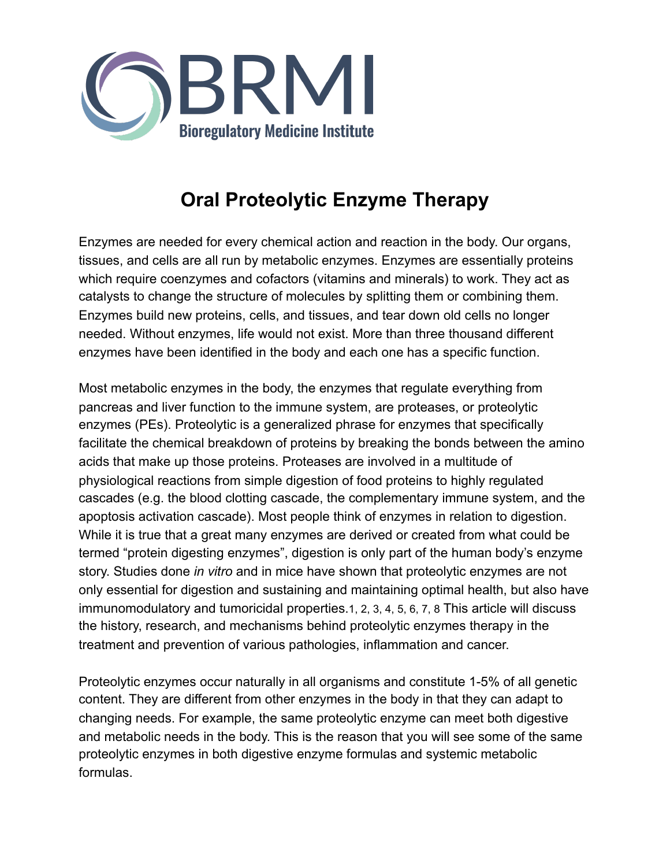

# **Oral Proteolytic Enzyme Therapy**

Enzymes are needed for every chemical action and reaction in the body. Our organs, tissues, and cells are all run by metabolic enzymes. Enzymes are essentially proteins which require coenzymes and cofactors (vitamins and minerals) to work. They act as catalysts to change the structure of molecules by splitting them or combining them. Enzymes build new proteins, cells, and tissues, and tear down old cells no longer needed. Without enzymes, life would not exist. More than three thousand different enzymes have been identified in the body and each one has a specific function.

Most metabolic enzymes in the body, the enzymes that regulate everything from pancreas and liver function to the immune system, are proteases, or proteolytic enzymes (PEs). Proteolytic is a generalized phrase for enzymes that specifically facilitate the chemical breakdown of proteins by breaking the bonds between the amino acids that make up those proteins. Proteases are involved in a multitude of physiological reactions from simple digestion of food proteins to highly regulated cascades (e.g. the blood clotting cascade, the complementary immune system, and the apoptosis activation cascade). Most people think of enzymes in relation to digestion. While it is true that a great many enzymes are derived or created from what could be termed "protein digesting enzymes", digestion is only part of the human body's enzyme story. Studies done *in vitro* and in mice have shown that proteolytic enzymes are not only essential for digestion and sustaining and maintaining optimal health, but also have immunomodulatory and tumoricidal properties.1, 2, 3, 4, 5, 6, 7, 8 This article will discuss the history, research, and mechanisms behind proteolytic enzymes therapy in the treatment and prevention of various pathologies, inflammation and cancer.

Proteolytic enzymes occur naturally in all organisms and constitute 1-5% of all genetic content. They are different from other enzymes in the body in that they can adapt to changing needs. For example, the same proteolytic enzyme can meet both digestive and metabolic needs in the body. This is the reason that you will see some of the same proteolytic enzymes in both digestive enzyme formulas and systemic metabolic formulas.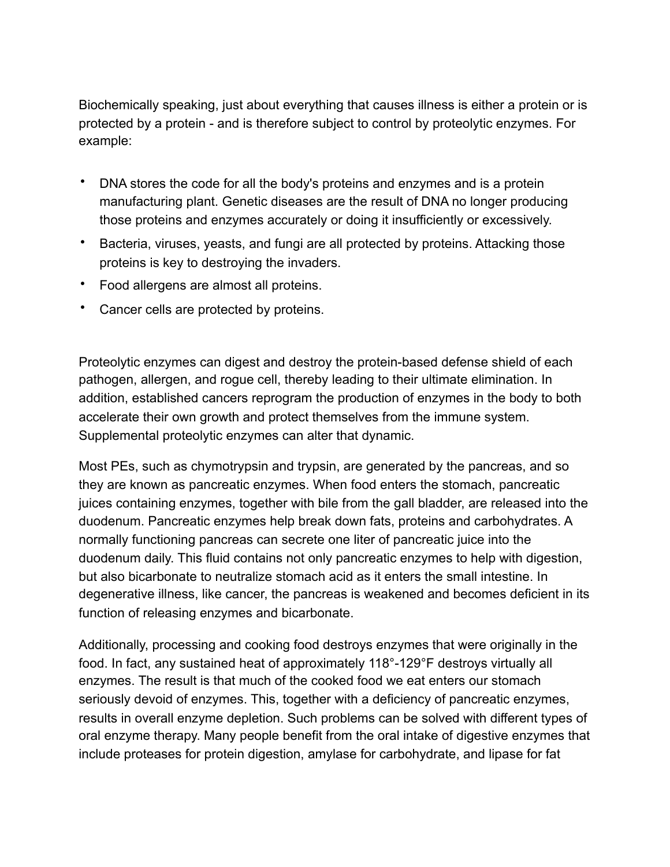Biochemically speaking, just about everything that causes illness is either a protein or is protected by a protein - and is therefore subject to control by proteolytic enzymes. For example:

- DNA stores the code for all the body's proteins and enzymes and is a protein manufacturing plant. Genetic diseases are the result of DNA no longer producing those proteins and enzymes accurately or doing it insufficiently or excessively.
- Bacteria, viruses, yeasts, and fungi are all protected by proteins. Attacking those proteins is key to destroying the invaders.
- Food allergens are almost all proteins.
- Cancer cells are protected by proteins.

Proteolytic enzymes can digest and destroy the protein-based defense shield of each pathogen, allergen, and rogue cell, thereby leading to their ultimate elimination. In addition, established cancers reprogram the production of enzymes in the body to both accelerate their own growth and protect themselves from the immune system. Supplemental proteolytic enzymes can alter that dynamic.

Most PEs, such as chymotrypsin and trypsin, are generated by the pancreas, and so they are known as pancreatic enzymes. When food enters the stomach, pancreatic juices containing enzymes, together with bile from the gall bladder, are released into the duodenum. Pancreatic enzymes help break down fats, proteins and carbohydrates. A normally functioning pancreas can secrete one liter of pancreatic juice into the duodenum daily. This fluid contains not only pancreatic enzymes to help with digestion, but also bicarbonate to neutralize stomach acid as it enters the small intestine. In degenerative illness, like cancer, the pancreas is weakened and becomes deficient in its function of releasing enzymes and bicarbonate.

Additionally, processing and cooking food destroys enzymes that were originally in the food. In fact, any sustained heat of approximately 118°-129°F destroys virtually all enzymes. The result is that much of the cooked food we eat enters our stomach seriously devoid of enzymes. This, together with a deficiency of pancreatic enzymes, results in overall enzyme depletion. Such problems can be solved with different types of oral enzyme therapy. Many people benefit from the oral intake of digestive enzymes that include proteases for protein digestion, amylase for carbohydrate, and lipase for fat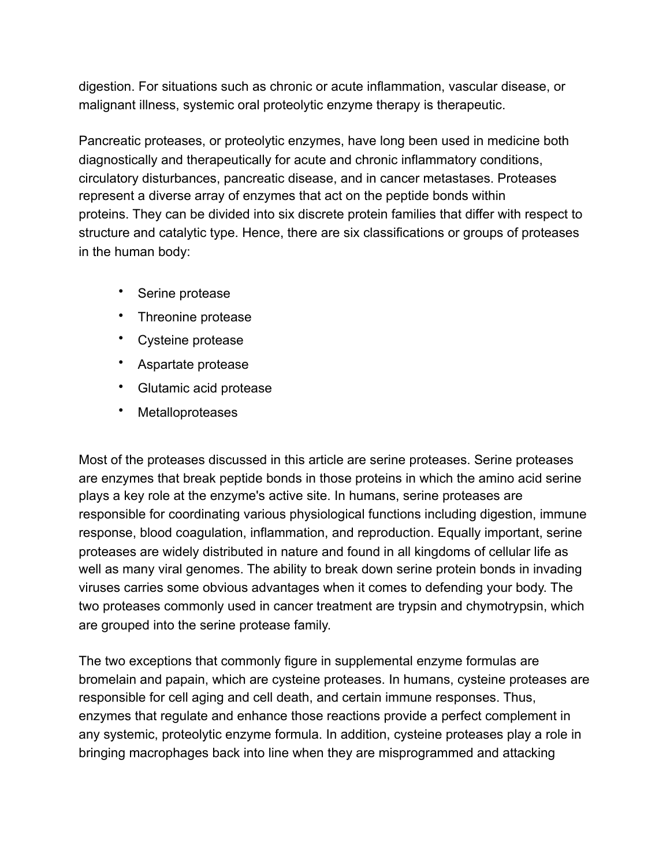digestion. For situations such as chronic or acute inflammation, vascular disease, or malignant illness, systemic oral proteolytic enzyme therapy is therapeutic.

Pancreatic proteases, or proteolytic enzymes, have long been used in medicine both diagnostically and therapeutically for acute and chronic inflammatory conditions, circulatory disturbances, pancreatic disease, and in cancer metastases. Proteases represent a diverse array of enzymes that act on the peptide bonds within proteins. They can be divided into six discrete protein families that differ with respect to structure and catalytic type. Hence, there are six classifications or groups of proteases in the human body:

- Serine protease
- Threonine protease
- Cysteine protease
- Aspartate protease
- Glutamic acid protease
- Metalloproteases

Most of the proteases discussed in this article are serine proteases. Serine proteases are enzymes that break peptide bonds in those proteins in which the amino acid serine plays a key role at the enzyme's active site. In humans, serine proteases are responsible for coordinating various physiological functions including digestion, immune response, blood coagulation, inflammation, and reproduction. Equally important, serine proteases are widely distributed in nature and found in all kingdoms of cellular life as well as many viral genomes. The ability to break down serine protein bonds in invading viruses carries some obvious advantages when it comes to defending your body. The two proteases commonly used in cancer treatment are trypsin and chymotrypsin, which are grouped into the serine protease family.

The two exceptions that commonly figure in supplemental enzyme formulas are bromelain and papain, which are cysteine proteases. In humans, cysteine proteases are responsible for cell aging and cell death, and certain immune responses. Thus, enzymes that regulate and enhance those reactions provide a perfect complement in any systemic, proteolytic enzyme formula. In addition, cysteine proteases play a role in bringing macrophages back into line when they are misprogrammed and attacking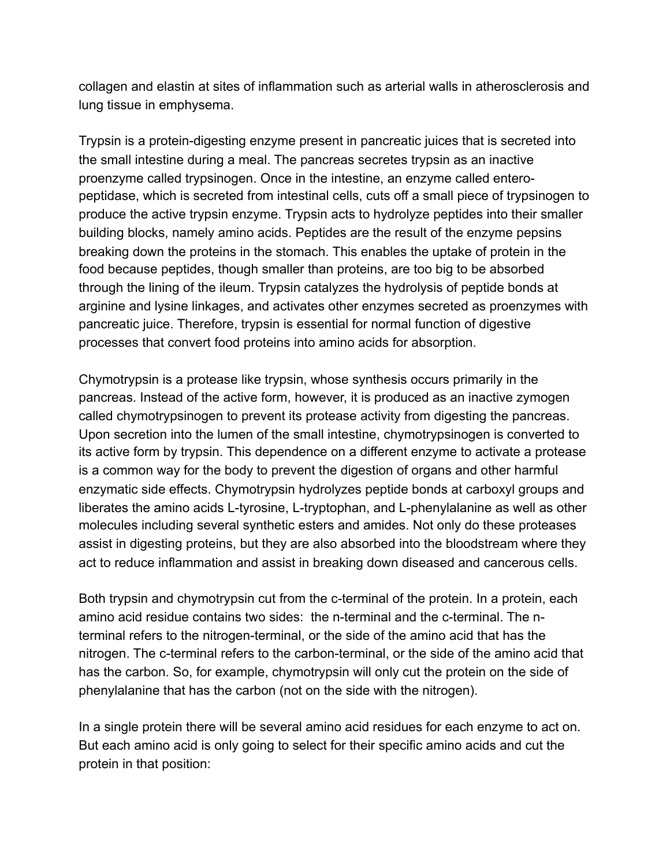collagen and elastin at sites of inflammation such as arterial walls in atherosclerosis and lung tissue in emphysema.

Trypsin is a protein-digesting enzyme present in pancreatic juices that is secreted into the small intestine during a meal. The pancreas secretes trypsin as an inactive proenzyme called trypsinogen. Once in the intestine, an enzyme called enteropeptidase, which is secreted from intestinal cells, cuts off a small piece of trypsinogen to produce the active trypsin enzyme. Trypsin acts to [hydrolyze](http://www.wikipedia.org/wiki/Hydrolyse) peptides into their smaller building blocks, namely amino acids. Peptides are the result of the enzyme pepsins breaking down the proteins in the stomach. This enables the uptake of protein in the food because peptides, though smaller than proteins, are too big to be absorbed through the lining of the ileum. Trypsin [catalyzes](http://www.wikipedia.org/wiki/Catalysis) the hydrolysis of peptide bonds at arginine and lysine linkages, and activates other enzymes secreted as proenzymes with pancreatic juice. Therefore, trypsin is essential for normal function of digestive processes that convert food proteins into amino acids for absorption.

Chymotrypsin is a protease like trypsin, whose synthesis occurs primarily in the pancreas. Instead of the active form, however, it is produced as an inactive zymogen called chymotrypsinogen to prevent its protease activity from digesting the pancreas. Upon secretion into the lumen of the small intestine, chymotrypsinogen is converted to its active form by trypsin. This dependence on a different enzyme to activate a protease is a common way for the body to prevent the digestion of organs and other harmful enzymatic side effects. Chymotrypsin hydrolyzes peptide bonds at carboxyl groups and liberates the amino acids L-tyrosine, L-tryptophan, and L-phenylalanine as well as other molecules including several synthetic esters and amides. Not only do these proteases assist in digesting proteins, but they are also absorbed into the bloodstream where they act to reduce inflammation and assist in breaking down diseased and cancerous cells.

Both trypsin and chymotrypsin cut from the c-terminal of the protein. In a protein, each amino acid residue contains two sides: the n-terminal and the c-terminal. The nterminal refers to the nitrogen-terminal, or the side of the amino acid that has the nitrogen. The c-terminal refers to the carbon-terminal, or the side of the amino acid that has the carbon. So, for example, chymotrypsin will only cut the protein on the side of phenylalanine that has the carbon (not on the side with the nitrogen).

In a single protein there will be several amino acid residues for each enzyme to act on. But each amino acid is only going to select for their specific amino acids and cut the protein in that position: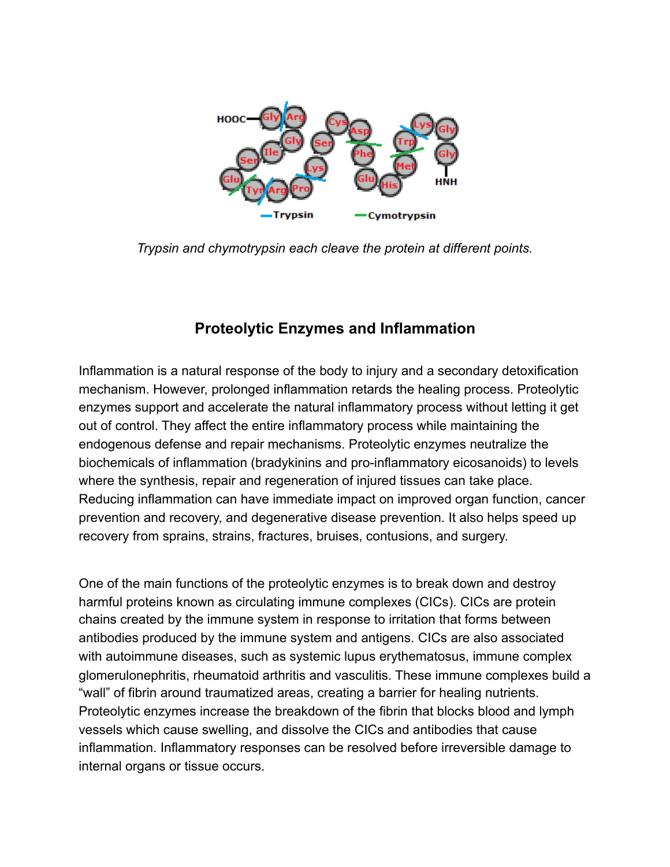

*Trypsin and chymotrypsin each cleave the protein at different points.*

## **Proteolytic Enzymes and Inflammation**

Inflammation is a natural response of the body to injury and a secondary detoxification mechanism. However, prolonged inflammation retards the healing process. Proteolytic enzymes support and accelerate the natural inflammatory process without letting it get out of control. They affect the entire inflammatory process while maintaining the endogenous defense and repair mechanisms. Proteolytic enzymes neutralize the biochemicals of inflammation (bradykinins and pro-inflammatory eicosanoids) to levels where the synthesis, repair and regeneration of injured tissues can take place. Reducing inflammation can have immediate impact on improved organ function, cancer prevention and recovery, and degenerative disease prevention. It also helps speed up recovery from sprains, strains, fractures, bruises, contusions, and surgery.

One of the main functions of the proteolytic enzymes is to break down and destroy harmful proteins known as circulating immune complexes (CICs). CICs are protein chains created by the immune system in response to irritation that forms between antibodies produced by the immune system and antigens. CICs are also associated with autoimmune diseases, such as systemic lupus erythematosus, immune complex glomerulonephritis, rheumatoid arthritis and vasculitis. These immune complexes build a "wall" of fibrin around traumatized areas, creating a barrier for healing nutrients. Proteolytic enzymes increase the breakdown of the fibrin that blocks blood and lymph vessels which cause swelling, and dissolve the CICs and antibodies that cause inflammation. Inflammatory responses can be resolved before irreversible damage to internal organs or tissue occurs.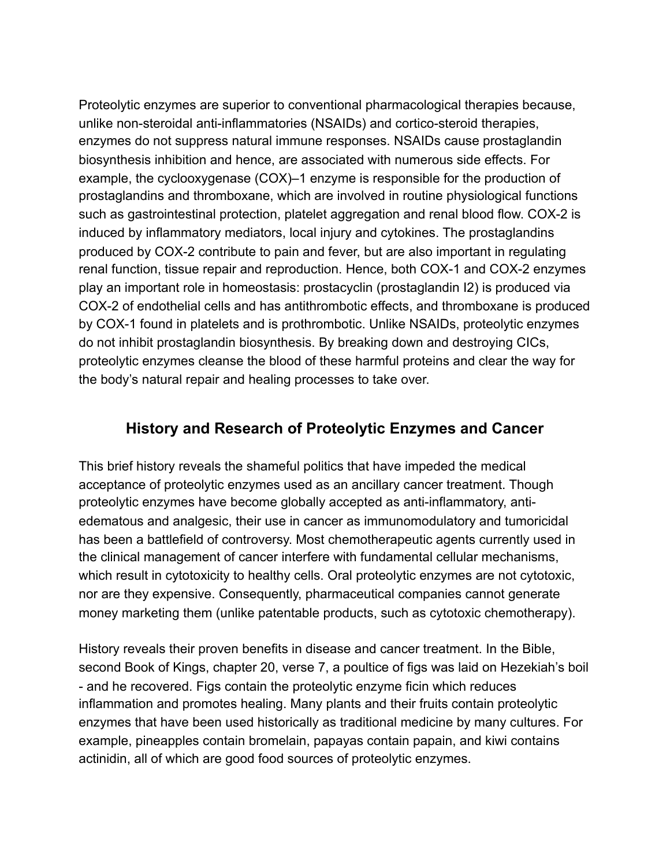Proteolytic enzymes are superior to conventional pharmacological therapies because, unlike non-steroidal anti-inflammatories (NSAIDs) and cortico-steroid therapies, enzymes do not suppress natural immune responses. NSAIDs cause prostaglandin biosynthesis inhibition and hence, are associated with numerous side effects. For example, the cyclooxygenase (COX)–1 enzyme is responsible for the production of prostaglandins and thromboxane, which are involved in routine physiological functions such as gastrointestinal protection, platelet aggregation and renal blood flow. COX-2 is induced by inflammatory mediators, local injury and cytokines. The prostaglandins produced by COX-2 contribute to pain and fever, but are also important in regulating renal function, tissue repair and reproduction. Hence, both COX-1 and COX-2 enzymes play an important role in homeostasis: prostacyclin (prostaglandin I2) is produced via COX-2 of endothelial cells and has antithrombotic effects, and thromboxane is produced by COX-1 found in platelets and is prothrombotic. Unlike NSAIDs, proteolytic enzymes do not inhibit prostaglandin biosynthesis. By breaking down and destroying CICs, proteolytic enzymes cleanse the blood of these harmful proteins and clear the way for the body's natural repair and healing processes to take over.

#### **History and Research of Proteolytic Enzymes and Cancer**

This brief history reveals the shameful politics that have impeded the medical acceptance of proteolytic enzymes used as an ancillary cancer treatment. Though proteolytic enzymes have become globally accepted as anti-inflammatory, antiedematous and analgesic, their use in cancer as immunomodulatory and tumoricidal has been a battlefield of controversy. Most chemotherapeutic agents currently used in the clinical management of cancer interfere with fundamental cellular mechanisms, which result in cytotoxicity to healthy cells. Oral proteolytic enzymes are not cytotoxic, nor are they expensive. Consequently, pharmaceutical companies cannot generate money marketing them (unlike patentable products, such as cytotoxic chemotherapy).

History reveals their proven benefits in disease and cancer treatment. In the Bible, second Book of Kings, chapter 20, verse 7, a poultice of figs was laid on Hezekiah's boil - and he recovered. Figs contain the proteolytic enzyme ficin which reduces inflammation and promotes healing. Many plants and their fruits contain proteolytic enzymes that have been used historically as traditional medicine by many cultures. For example, pineapples contain bromelain, papayas contain papain, and kiwi contains actinidin, all of which are good food sources of proteolytic enzymes.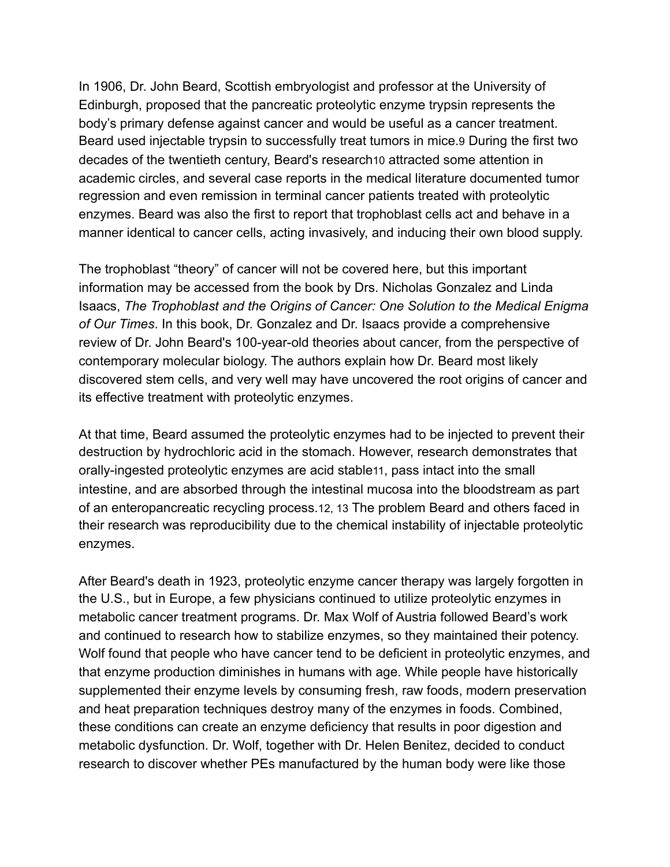In 1906, Dr. John Beard, Scottish embryologist and professor at the University of Edinburgh, proposed that the pancreatic proteolytic enzyme trypsin represents the body's primary defense against cancer and would be useful as a cancer treatment. Beard used injectable trypsin to successfully treat tumors in mice.9 During the first two decades of the twentieth century, Beard's research10 attracted some attention in academic circles, and several case reports in the medical literature documented tumor regression and even remission in terminal cancer patients treated with proteolytic enzymes. Beard was also the first to report that trophoblast cells act and behave in a manner [identical](http://www.ncbi.nlm.nih.gov/pubmed/9458933) to cancer cells, acting invasively, and inducing their own blood supply.

The trophoblast "theory" of cancer will not be covered here, but this important information may be accessed from the book by Drs. Nicholas Gonzalez and Linda Isaacs, *The Trophoblast and the Origins of Cancer: One Solution to the Medical Enigma of Our Times*. In this book, Dr. Gonzalez and Dr. Isaacs provide a comprehensive review of Dr. John Beard's 100-year-old theories about cancer, from the perspective of contemporary molecular biology. The authors explain how Dr. Beard most likely discovered stem cells, and very well may have uncovered the root origins of cancer and its effective treatment with proteolytic enzymes.

At that time, Beard assumed the proteolytic enzymes had to be injected to prevent their destruction by hydrochloric acid in the stomach. However, research demonstrates that orally-ingested proteolytic enzymes are acid stable11, pass intact into the small intestine, and are absorbed through the intestinal mucosa into the bloodstream as part of an enteropancreatic recycling process.12, 13 The problem Beard and others faced in their research was reproducibility due to the chemical instability of injectable proteolytic enzymes.

After Beard's death in 1923, proteolytic enzyme cancer therapy was largely forgotten in the U.S., but in Europe, a few physicians continued to utilize proteolytic enzymes in metabolic cancer treatment programs. Dr. Max Wolf of Austria followed Beard's work and continued to research how to stabilize enzymes, so they maintained their potency. Wolf found that people who have cancer tend to be deficient in proteolytic enzymes, and that enzyme production diminishes in humans with age. While people have historically supplemented their enzyme levels by consuming fresh, raw foods, modern preservation and heat preparation techniques destroy many of the enzymes in foods. Combined, these conditions can create an enzyme deficiency that results in poor digestion and metabolic dysfunction. Dr. Wolf, together with Dr. Helen Benitez, decided to conduct research to discover whether PEs manufactured by the human body were like those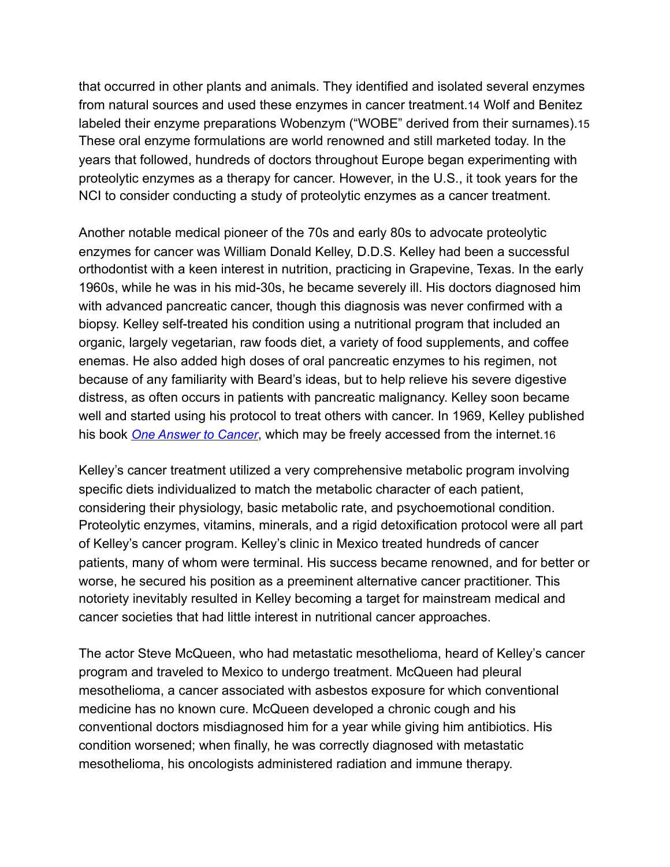that occurred in other plants and animals. They identified and isolated several enzymes from natural sources and used these enzymes in cancer treatment.14 Wolf and Benitez labeled their enzyme preparations Wobenzym ("WOBE" derived from their surnames).15 These oral enzyme formulations are world renowned and still marketed today. In the years that followed, hundreds of doctors throughout Europe began experimenting with proteolytic enzymes as a therapy for cancer. However, in the U.S., it took years for the NCI to consider conducting a study of proteolytic enzymes as a cancer treatment.

Another notable medical pioneer of the 70s and early 80s to advocate proteolytic enzymes for cancer was William Donald Kelley, D.D.S. Kelley had been a successful orthodontist with a keen interest in nutrition, practicing in Grapevine, Texas. In the early 1960s, while he was in his mid-30s, he became severely ill. His doctors diagnosed him with advanced pancreatic cancer, though this diagnosis was never confirmed with a biopsy. Kelley self-treated his condition using a nutritional program that included an organic, largely vegetarian, raw foods diet, a variety of food supplements, and coffee enemas. He also added high doses of oral pancreatic enzymes to his regimen, not because of any familiarity with Beard's ideas, but to help relieve his severe digestive distress, as often occurs in patients with pancreatic malignancy. Kelley soon became well and started using his protocol to treat others with cancer. In 1969, Kelley published his book *[One Answer to Cancer](http://www.drkelley.com/CANLIVER55.html)*, which may be freely accessed from the internet.16

Kelley's cancer treatment utilized a very comprehensive metabolic program involving specific diets individualized to match the metabolic character of each patient, considering their physiology, basic metabolic rate, and psychoemotional condition. Proteolytic enzymes, vitamins, minerals, and a rigid detoxification protocol were all part of Kelley's cancer program. Kelley's clinic in Mexico treated hundreds of cancer patients, many of whom were terminal. His success became renowned, and for better or worse, he secured his position as a preeminent alternative cancer practitioner. This notoriety inevitably resulted in Kelley becoming a target for mainstream medical and cancer societies that had little interest in nutritional cancer approaches.

The actor Steve McQueen, who had metastatic mesothelioma, heard of Kelley's cancer program and traveled to Mexico to undergo treatment. McQueen had pleural mesothelioma, a cancer associated with asbestos exposure for which conventional medicine has no known cure. McQueen developed a chronic cough and his conventional doctors misdiagnosed him for a year while giving him antibiotics. His condition worsened; when finally, he was correctly diagnosed with metastatic mesothelioma, his oncologists administered radiation and immune therapy.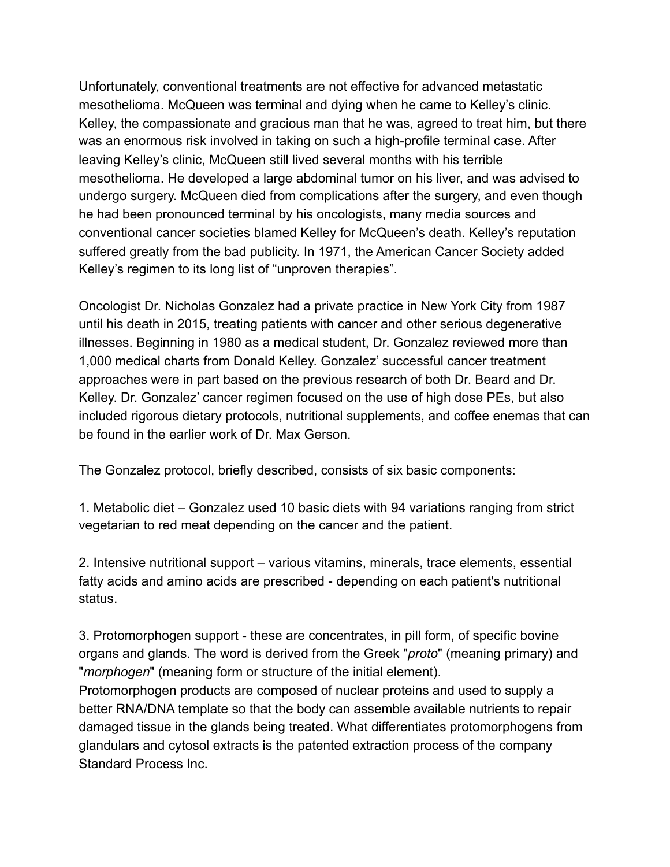Unfortunately, conventional treatments are not effective for advanced metastatic mesothelioma. McQueen was terminal and dying when he came to Kelley's clinic. Kelley, the compassionate and gracious man that he was, agreed to treat him, but there was an enormous risk involved in taking on such a high-profile terminal case. After leaving Kelley's clinic, McQueen still lived several months with his terrible mesothelioma. He developed a large abdominal tumor on his liver, and was advised to undergo surgery. McQueen died from complications after the surgery, and even though he had been pronounced terminal by his oncologists, many media sources and conventional cancer societies blamed Kelley for McQueen's death. Kelley's reputation suffered greatly from the bad publicity. In 1971, the American Cancer Society added Kelley's regimen to its long list of "unproven therapies".

Oncologist Dr. Nicholas Gonzalez had a private practice in New York City from 1987 until his death in 2015, treating patients with cancer and other serious degenerative illnesses. Beginning in 1980 as a medical student, Dr. Gonzalez reviewed more than 1,000 medical charts from Donald Kelley. Gonzalez' successful cancer treatment approaches were in part based on the previous research of both Dr. Beard and Dr. Kelley. Dr. Gonzalez' cancer regimen focused on the use of high dose PEs, but also included rigorous dietary protocols, nutritional supplements, and coffee enemas that can be found in the earlier work of Dr. Max Gerson.

The Gonzalez protocol, briefly described, consists of six basic components:

1. Metabolic diet – Gonzalez used 10 basic diets with 94 variations ranging from strict vegetarian to red meat depending on the cancer and the patient.

2. Intensive nutritional support – various vitamins, minerals, trace elements, essential fatty acids and amino acids are prescribed - depending on each patient's nutritional status.

3. Protomorphogen support - these are concentrates, in pill form, of specific bovine organs and glands. The word is derived from the Greek "*proto*" (meaning primary) and "*morphogen*" (meaning form or structure of the initial element).

Protomorphogen products are composed of nuclear proteins and used to supply a better RNA/DNA template so that the body can assemble available nutrients to repair damaged tissue in the glands being treated. What differentiates protomorphogens from glandulars and cytosol extracts is the patented extraction process of the company Standard Process Inc.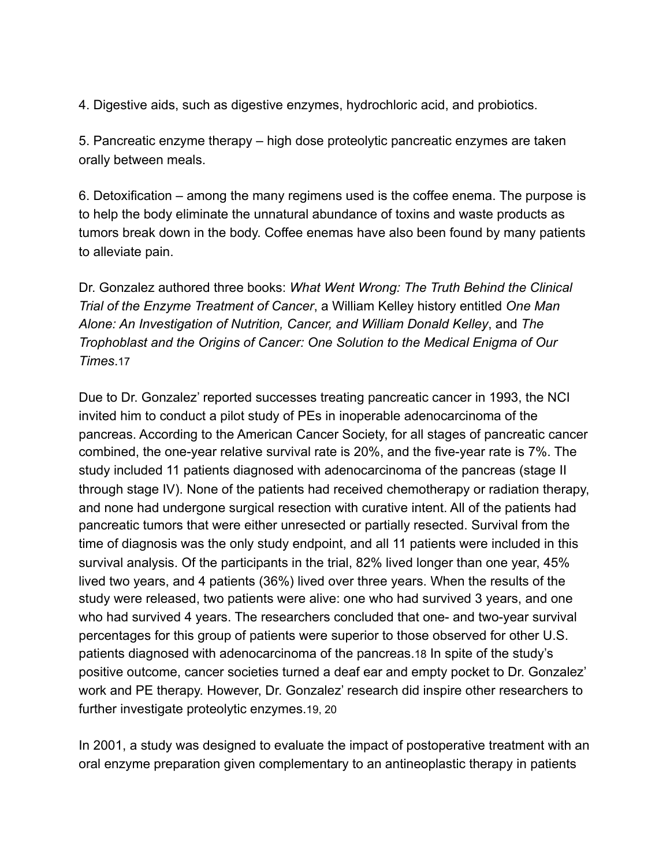4. Digestive aids, such as digestive enzymes, hydrochloric acid, and probiotics.

5. Pancreatic enzyme therapy – high dose proteolytic pancreatic enzymes are taken orally between meals.

6. Detoxification – among the many regimens used is the coffee enema. The purpose is to help the body eliminate the unnatural abundance of toxins and waste products as tumors break down in the body. Coffee enemas have also been found by many patients to alleviate pain.

Dr. Gonzalez authored three books: *What Went Wrong: The Truth Behind the Clinical Trial of the Enzyme Treatment of Cancer*, a William Kelley history entitled *One Man Alone: An Investigation of Nutrition, Cancer, and William Donald Kelley*, and *The Trophoblast and the Origins of Cancer: One Solution to the Medical Enigma of Our Times*.17

Due to Dr. Gonzalez' reported successes treating pancreatic cancer in 1993, the NCI invited him to conduct a pilot study of PEs in inoperable adenocarcinoma of the pancreas. According to the American Cancer Society, for all stages of pancreatic cancer combined, the one-year relative survival rate is 20%, and the five-year rate is 7%. The study included 11 patients diagnosed with adenocarcinoma of the pancreas (stage II through stage IV). None of the patients had received chemotherapy or radiation therapy, and none had undergone surgical resection with curative intent. All of the patients had pancreatic [tumors](http://www.cancer.gov/Common/PopUps/popDefinition.aspx?id=46634&version=Patient&language=English) that were either unresected or partially resected. Survival from the time of diagnosis was the only study endpoint, and all 11 patients were included in this survival analysis. Of the participants in the trial, 82% lived longer than one year, 45% lived two years, and 4 patients (36%) lived over three years. When the results of the study were released, two patients were alive: one who had survived 3 years, and one who had survived 4 years. The researchers concluded that one- and two-year survival percentages for this group of patients were superior to those observed for other U.S. patients diagnosed with adenocarcinoma of the pancreas.18 In spite of the study's positive outcome, cancer societies turned a deaf ear and empty pocket to Dr. Gonzalez' work and PE therapy. However, Dr. Gonzalez' research did inspire other researchers to further investigate proteolytic enzymes.19, 20

In 2001, a study was designed to evaluate the impact of postoperative treatment with an oral enzyme preparation given complementary to an antineoplastic therapy in patients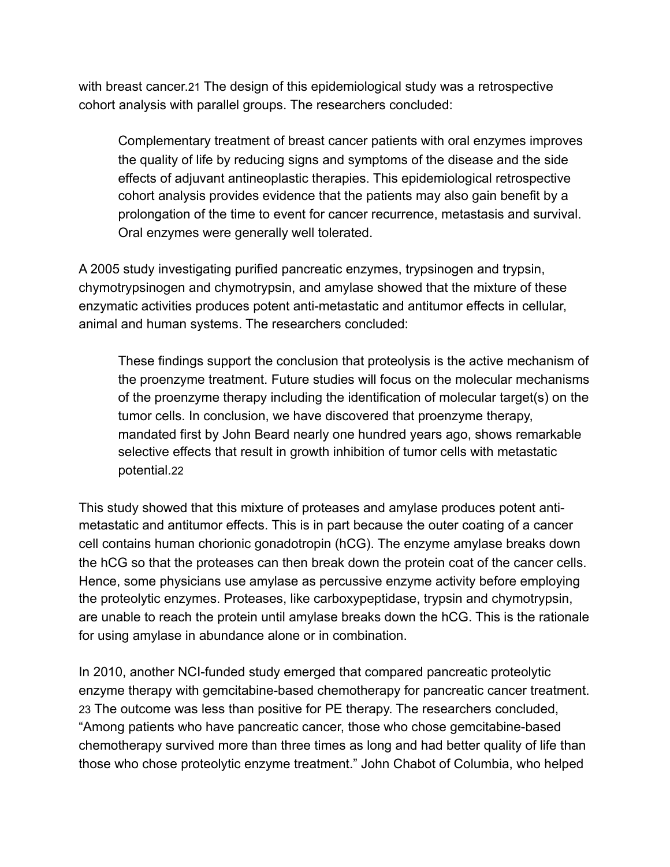with breast cancer.21 The design of this epidemiological study was a retrospective cohort analysis with parallel groups. The researchers concluded:

Complementary treatment of breast cancer patients with oral enzymes improves the quality of life by reducing signs and symptoms of the disease and the side effects of adjuvant antineoplastic therapies. This epidemiological retrospective cohort analysis provides evidence that the patients may also gain benefit by a prolongation of the time to event for cancer recurrence, metastasis and survival. Oral enzymes were generally well tolerated.

A 2005 study investigating purified pancreatic enzymes, trypsinogen and trypsin, chymotrypsinogen and chymotrypsin, and amylase showed that the mixture of these enzymatic activities produces potent anti-metastatic and antitumor effects in cellular, animal and human systems. The researchers concluded:

These findings support the conclusion that proteolysis is the active mechanism of the proenzyme treatment. Future studies will focus on the molecular mechanisms of the proenzyme therapy including the identification of molecular target(s) on the tumor cells. In conclusion, we have discovered that proenzyme therapy, mandated first by John Beard nearly one hundred years ago, shows remarkable selective effects that result in growth inhibition of tumor cells with metastatic potential.22

This study showed that this mixture of proteases and amylase produces potent antimetastatic and antitumor effects. This is in part because the outer coating of a cancer cell contains human chorionic gonadotropin (hCG). The enzyme amylase breaks down the hCG so that the proteases can then break down the protein coat of the cancer cells. Hence, some physicians use amylase as percussive enzyme activity before employing the proteolytic enzymes. Proteases, like carboxypeptidase, trypsin and chymotrypsin, are unable to reach the protein until amylase breaks down the hCG. This is the rationale for using amylase in abundance alone or in combination.

In 2010, another NCI-funded study emerged that compared pancreatic proteolytic enzyme therapy with gemcitabine-based chemotherapy for pancreatic cancer treatment. 23 The outcome was less than positive for PE therapy. The researchers concluded, "Among patients who have pancreatic cancer, those who chose gemcitabine-based chemotherapy survived more than three times as long and had better quality of life than those who chose proteolytic enzyme treatment." John Chabot of Columbia, who helped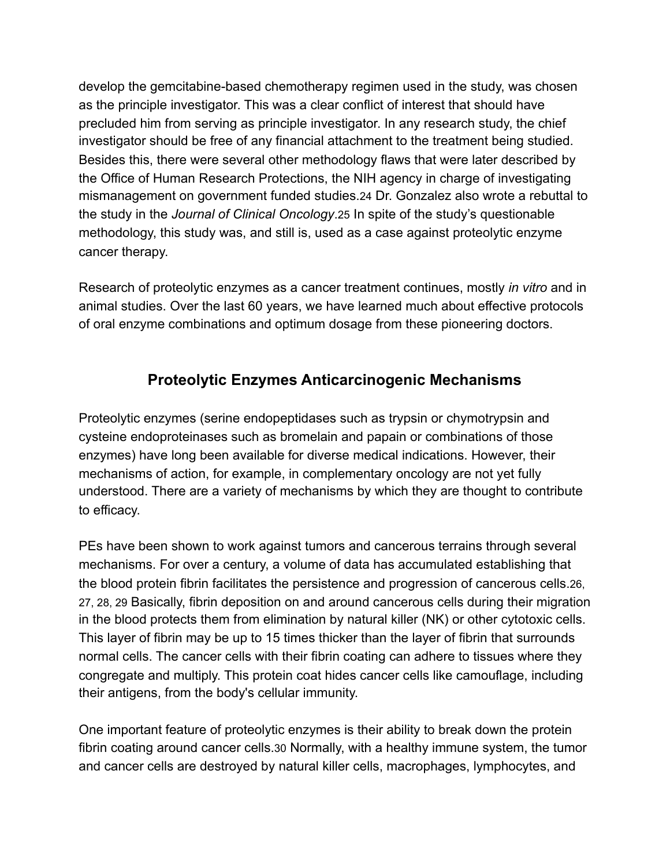develop the gemcitabine-based chemotherapy regimen used in the study, was chosen as the principle investigator. This was a clear conflict of interest that should have precluded him from serving as principle investigator. In any research study, the chief investigator should be free of any financial attachment to the treatment being studied. Besides this, there were several other methodology flaws that were later described by the Office of Human Research Protections, the NIH agency in charge of investigating mismanagement on government funded studies.24 Dr. Gonzalez also wrote a rebuttal to the study in the *Journal of Clinical Oncology*.25 In spite of the study's questionable methodology, this study was, and still is, used as a case against proteolytic enzyme cancer therapy.

Research of proteolytic enzymes as a cancer treatment continues, mostly *in vitro* and in animal studies. Over the last 60 years, we have learned much about effective protocols of oral enzyme combinations and optimum dosage from these pioneering doctors.

### **Proteolytic Enzymes Anticarcinogenic Mechanisms**

Proteolytic enzymes (serine endopeptidases such as trypsin or chymotrypsin and cysteine endoproteinases such as bromelain and papain or combinations of those enzymes) have long been available for diverse medical indications. However, their mechanisms of action, for example, in complementary oncology are not yet fully understood. There are a variety of mechanisms by which they are thought to contribute to efficacy.

PEs have been shown to work against tumors and cancerous terrains through several mechanisms. For over a century, a volume of data has accumulated establishing that the blood protein fibrin facilitates the persistence and progression of cancerous cells.26, 27, 28, 29 Basically, fibrin deposition on and around cancerous cells during their migration in the blood protects them from elimination by natural killer (NK) or other cytotoxic cells. This layer of fibrin may be up to 15 times thicker than the layer of fibrin that surrounds normal cells. The cancer cells with their fibrin coating can adhere to tissues where they congregate and multiply. This protein coat hides cancer cells like camouflage, including their antigens, from the body's cellular immunity.

One important feature of proteolytic enzymes is their ability to break down the protein fibrin coating around cancer cells.30 Normally, with a healthy immune system, the tumor and cancer cells are destroyed by natural killer cells, macrophages, lymphocytes, and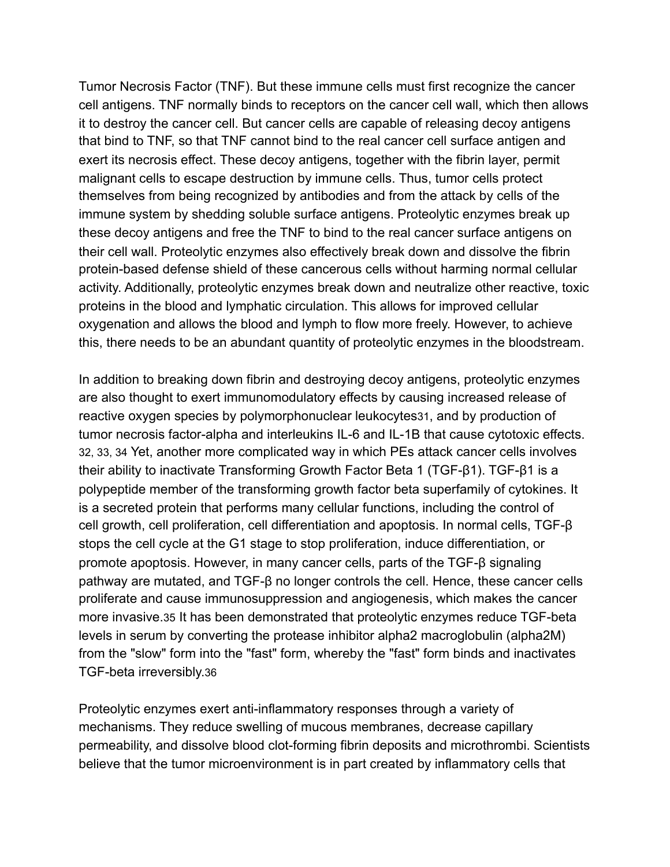Tumor Necrosis Factor (TNF). But these immune cells must first recognize the cancer cell antigens. TNF normally binds to receptors on the cancer cell wall, which then allows it to destroy the cancer cell. But cancer cells are capable of releasing decoy antigens that bind to TNF, so that TNF cannot bind to the real cancer cell surface antigen and exert its necrosis effect. These decoy antigens, together with the fibrin layer, permit malignant cells to escape destruction by immune cells. Thus, tumor cells protect themselves from being recognized by antibodies and from the attack by cells of the immune system by shedding soluble surface antigens. Proteolytic enzymes break up these decoy antigens and free the TNF to bind to the real cancer surface antigens on their cell wall. Proteolytic enzymes also effectively break down and dissolve the fibrin protein-based defense shield of these cancerous cells without harming normal cellular activity. Additionally, proteolytic enzymes break down and neutralize other reactive, toxic proteins in the blood and lymphatic circulation. This allows for improved cellular oxygenation and allows the blood and lymph to flow more freely. However, to achieve this, there needs to be an abundant quantity of proteolytic enzymes in the bloodstream.

In addition to breaking down fibrin and destroying decoy antigens, proteolytic enzymes are also thought to exert immunomodulatory effects by causing increased release of reactive oxygen species by polymorphonuclear leukocytes31, and by production of tumor necrosis factor-alpha and interleukins IL-6 and IL-1B that cause cytotoxic effects. 32, 33, 34 Yet, another more complicated way in which PEs attack cancer cells involves their ability to inactivate Transforming Growth Factor Beta 1 (TGF-β1). TGF-β1 is a polypeptide member of the transforming growth factor beta superfamily of cytokines. It is a secreted protein that performs many cellular functions, including the control of cell growth, cell proliferation, cell differentiation and apoptosis. In normal cells, TGF-β stops the cell cycle at the G1 stage to stop proliferation, induce differentiation, or promote apoptosis. However, in many cancer cells, parts of the TGF-β signaling pathway are mutated, and TGF-β no longer controls the cell. Hence, these cancer cells proliferate and cause immunosuppression and angiogenesis, which makes the cancer more invasive.35 It has been demonstrated that proteolytic enzymes reduce TGF-beta levels in serum by converting the protease inhibitor alpha2 macroglobulin (alpha2M) from the "slow" form into the "fast" form, whereby the "fast" form binds and inactivates TGF-beta irreversibly.36

Proteolytic enzymes exert anti-inflammatory responses through a variety of mechanisms. They reduce swelling of mucous membranes, decrease capillary permeability, and dissolve blood clot-forming fibrin deposits and microthrombi. Scientists believe that the tumor microenvironment is in part created by inflammatory cells that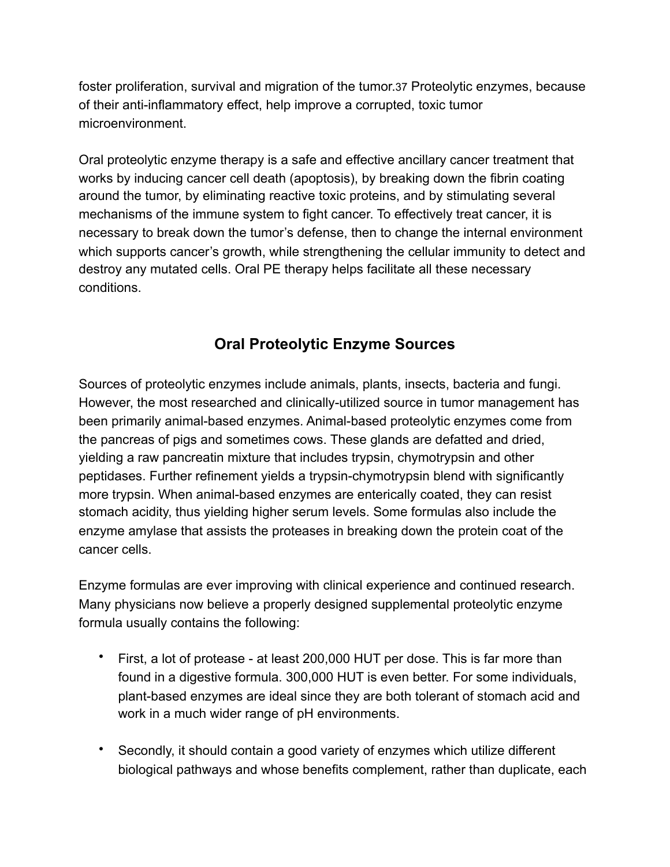foster proliferation, survival and migration of the tumor.37 Proteolytic enzymes, because of their anti-inflammatory effect, help improve a corrupted, toxic tumor microenvironment.

Oral proteolytic enzyme therapy is a safe and effective ancillary cancer treatment that works by inducing cancer cell death (apoptosis), by breaking down the fibrin coating around the tumor, by eliminating reactive toxic proteins, and by stimulating several mechanisms of the immune system to fight cancer. To effectively treat cancer, it is necessary to break down the tumor's defense, then to change the internal environment which supports cancer's growth, while strengthening the cellular immunity to detect and destroy any mutated cells. Oral PE therapy helps facilitate all these necessary conditions.

### **Oral Proteolytic Enzyme Sources**

Sources of proteolytic enzymes include animals, plants, insects, bacteria and fungi. However, the most researched and clinically-utilized source in tumor management has been primarily animal-based enzymes. Animal-based proteolytic enzymes come from the pancreas of pigs and sometimes cows. These glands are defatted and dried, yielding a raw pancreatin mixture that includes trypsin, chymotrypsin and other peptidases. Further refinement yields a trypsin-chymotrypsin blend with significantly more trypsin. When animal-based enzymes are enterically coated, they can resist stomach acidity, thus yielding higher serum levels. Some formulas also include the enzyme amylase that assists the proteases in breaking down the protein coat of the cancer cells.

Enzyme formulas are ever improving with clinical experience and continued research. Many physicians now believe a properly designed supplemental proteolytic enzyme formula usually contains the following:

- First, a lot of protease at least 200,000 HUT per dose. This is far more than found in a digestive formula. 300,000 HUT is even better. For some individuals, plant-based enzymes are ideal since they are both tolerant of stomach acid and work in a much wider range of pH environments.
- Secondly, it should contain a good variety of enzymes which utilize different biological pathways and whose benefits complement, rather than duplicate, each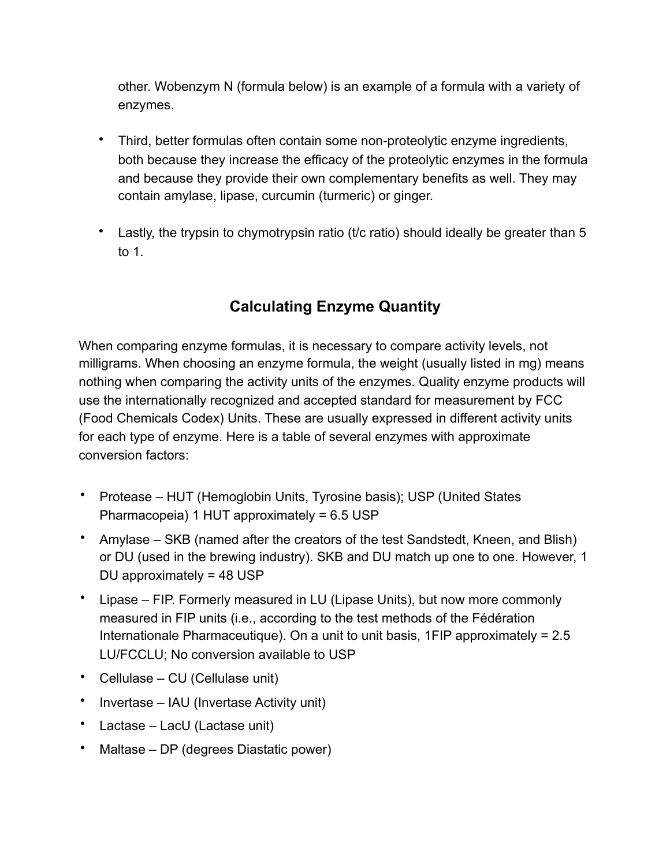other. Wobenzym N (formula below) is an example of a formula with a variety of enzymes.

- Third, better formulas often contain some non-proteolytic enzyme ingredients, both because they increase the efficacy of the proteolytic enzymes in the formula and because they provide their own complementary benefits as well. They may contain amylase, lipase, curcumin (turmeric) or ginger.
- Lastly, the trypsin to chymotrypsin ratio (t/c ratio) should ideally be greater than 5 to 1.

## **Calculating Enzyme Quantity**

When comparing enzyme formulas, it is necessary to compare activity levels, not milligrams. When choosing an enzyme formula, the weight (usually listed in mg) means nothing when comparing the activity units of the enzymes. Quality enzyme products will use the internationally recognized and accepted standard for measurement by FCC (Food Chemicals Codex) Units. These are usually expressed in different activity units for each type of enzyme. Here is a table of several enzymes with approximate conversion factors:

- Protease HUT (Hemoglobin Units, Tyrosine basis); USP (United States Pharmacopeia) 1 HUT approximately = 6.5 USP
- Amylase SKB (named after the creators of the test Sandstedt, Kneen, and Blish) or DU (used in the brewing industry). SKB and DU match up one to one. However, 1 DU approximately = 48 USP
- Lipase FIP. Formerly measured in LU (Lipase Units), but now more commonly measured in FIP units (i.e., according to the test methods of the Fédération Internationale Pharmaceutique). On a unit to unit basis, 1FIP approximately = 2.5 LU/FCCLU; No conversion available to USP
- Cellulase CU (Cellulase unit)
- Invertase IAU (Invertase Activity unit)
- Lactase LacU (Lactase unit)
- Maltase DP (degrees Diastatic power)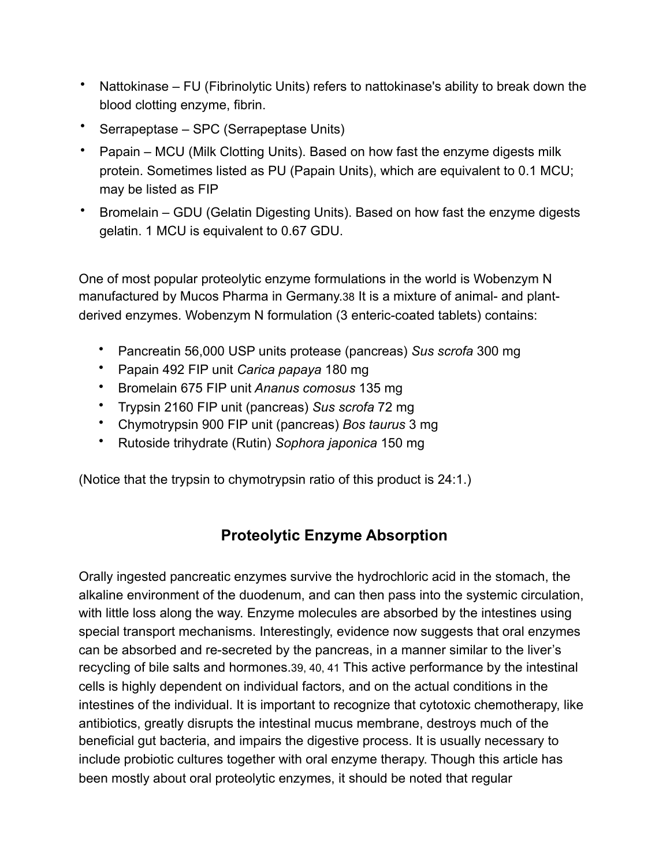- Nattokinase FU (Fibrinolytic Units) refers to nattokinase's ability to break down the blood clotting enzyme, fibrin.
- Serrapeptase SPC (Serrapeptase Units)
- Papain MCU (Milk Clotting Units). Based on how fast the enzyme digests milk protein. Sometimes listed as PU (Papain Units), which are equivalent to 0.1 MCU; may be listed as FIP
- Bromelain GDU (Gelatin Digesting Units). Based on how fast the enzyme digests gelatin. 1 MCU is equivalent to 0.67 GDU.

One of most popular proteolytic enzyme formulations in the world is Wobenzym N manufactured by Mucos Pharma in Germany.38 It is a mixture of animal- and plantderived enzymes. Wobenzym N formulation (3 enteric-coated tablets) contains:

- Pancreatin 56,000 USP units protease (pancreas) *Sus scrofa* 300 mg
- Papain 492 FIP unit *Carica papaya* 180 mg
- Bromelain 675 FIP unit *Ananus comosus* 135 mg
- Trypsin 2160 FIP unit (pancreas) *Sus scrofa* 72 mg
- Chymotrypsin 900 FIP unit (pancreas) *Bos taurus* 3 mg
- Rutoside trihydrate (Rutin) *Sophora japonica* 150 mg

(Notice that the trypsin to chymotrypsin ratio of this product is 24:1.)

## **Proteolytic Enzyme Absorption**

Orally ingested pancreatic enzymes survive the hydrochloric acid in the stomach, the alkaline environment of the duodenum, and can then pass into the systemic circulation, with little loss along the way. Enzyme molecules are absorbed by the intestines using special transport mechanisms. Interestingly, evidence now suggests that oral enzymes can be absorbed and re-secreted by the pancreas, in a manner similar to the liver's recycling of [bile](https://www.cancer.gov/Common/PopUps/popDefinition.aspx?id=46508&version=Patient&language=English) salts and hormones.39, 40, 41 This active performance by the intestinal cells is highly dependent on individual factors, and on the actual conditions in the intestines of the individual. It is important to recognize that cytotoxic chemotherapy, like antibiotics, greatly disrupts the intestinal mucus membrane, destroys much of the beneficial gut bacteria, and impairs the digestive process. It is usually necessary to include probiotic cultures together with oral enzyme therapy. Though this article has been mostly about oral proteolytic enzymes, it should be noted that regular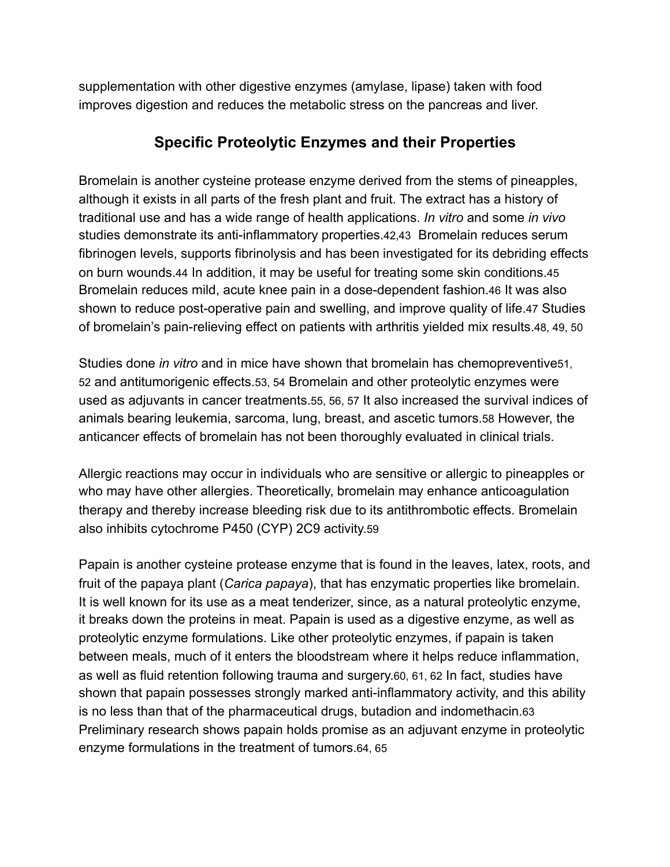supplementation with other digestive enzymes (amylase, lipase) taken with food improves digestion and reduces the metabolic stress on the pancreas and liver.

#### **Specific Proteolytic Enzymes and their Properties**

Bromelain is another cysteine protease enzyme derived from the stems of pineapples, although it exists in all parts of the fresh plant and fruit. The extract has a history of traditional use and has a wide range of health applications. *In vitro* and some *in vivo* studies demonstrate its anti-inflammatory properties.42,43 Bromelain reduces serum fibrinogen levels, supports fibrinolysis and has been investigated for its debriding effects on burn wounds.44 In addition, it may be useful for treating some skin conditions.45 Bromelain reduces mild, acute knee pain in a dose-dependent fashion.46 It was also shown to reduce post-operative pain and swelling, and improve quality of life.47 Studies of bromelain's pain-relieving effect on patients with arthritis yielded mix results.48, 49, 50

Studies done *in vitro* and in mice have shown that bromelain has chemopreventive51, 52 and antitumorigenic effects.53, 54 Bromelain and other proteolytic enzymes were used as adjuvants in cancer treatments.55, 56, 57 It also increased the survival indices of animals bearing leukemia, sarcoma, lung, breast, and ascetic tumors.58 However, the anticancer effects of bromelain has not been thoroughly evaluated in clinical trials.

Allergic reactions may occur in individuals who are sensitive or allergic to pineapples or who may have other allergies. Theoretically, bromelain may enhance anticoagulation therapy and thereby increase bleeding risk due to its antithrombotic effects. Bromelain also inhibits cytochrome P450 (CYP) 2C9 activity.59

Papain is another cysteine protease enzyme that is found in the leaves, latex, roots, and fruit of the papaya plant (*Carica papaya*), that has enzymatic properties like bromelain. It is well known for its use as a meat tenderizer, since, as a natural proteolytic enzyme, it breaks down the proteins in meat. Papain is used as a digestive enzyme, as well as proteolytic enzyme formulations. Like other proteolytic enzymes, if papain is taken between meals, much of it enters the bloodstream where it helps reduce inflammation, as well as fluid retention following trauma and surgery.60, 61, 62 In fact, studies have shown that papain possesses strongly marked anti-inflammatory activity, and this ability is no less than that of the pharmaceutical drugs, butadion and indomethacin.63 Preliminary research shows papain holds promise as an adjuvant enzyme in proteolytic enzyme formulations in the treatment of tumors.64, 65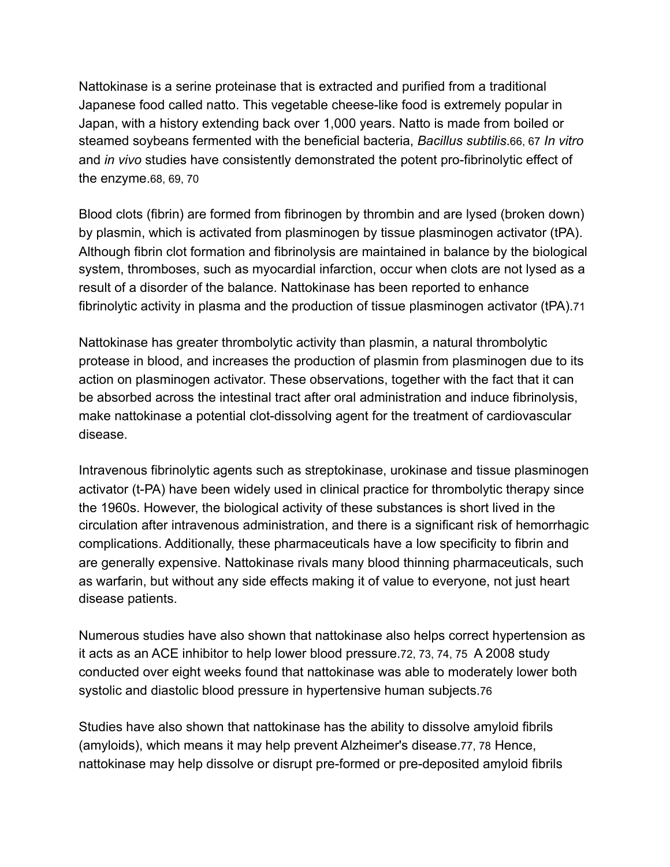Nattokinase is a serine proteinase that is extracted and purified from a traditional Japanese food called natto. This vegetable cheese-like food is extremely popular in Japan, with a history extending back over 1,000 years. Natto is made from boiled or steamed soybeans fermented with the beneficial bacteria, *Bacillus subtilis*.66, 67 *In vitro* and *in vivo* studies have consistently demonstrated the potent pro-fibrinolytic effect of the enzyme.68, 69, 70

Blood clots (fibrin) are formed from fibrinogen by thrombin and are lysed (broken down) by plasmin, which is activated from plasminogen by tissue plasminogen activator (tPA). Although fibrin clot formation and fibrinolysis are maintained in balance by the biological system, thromboses, such as myocardial infarction, occur when clots are not lysed as a result of a disorder of the balance. Nattokinase has been reported to enhance fibrinolytic activity in plasma and the production of tissue plasminogen activator (tPA).71

Nattokinase has greater thrombolytic activity than plasmin, a natural thrombolytic protease in blood, and increases the production of plasmin from plasminogen due to its action on plasminogen activator. These observations, together with the fact that it can be absorbed across the intestinal tract after oral administration and induce fibrinolysis, make nattokinase a potential clot-dissolving agent for the treatment of cardiovascular disease.

Intravenous fibrinolytic agents such as streptokinase, urokinase and tissue plasminogen activator (t-PA) have been widely used in clinical practice for thrombolytic therapy since the 1960s. However, the biological activity of these substances is short lived in the circulation after intravenous administration, and there is a significant risk of hemorrhagic complications. Additionally, these pharmaceuticals have a low specificity to fibrin and are generally expensive. Nattokinase rivals many blood thinning pharmaceuticals, such as warfarin, but without any side effects making it of value to everyone, not just heart disease patients.

Numerous studies have also shown that nattokinase also helps correct hypertension as it acts as an ACE inhibitor to help lower blood pressure.72, 73, 74, 75 A 2008 study conducted over eight weeks found that nattokinase was able to moderately lower both systolic and diastolic blood pressure in hypertensive human subjects.76

Studies have also shown that nattokinase has the ability to dissolve amyloid fibrils (amyloids), which means it may help prevent Alzheimer's disease.77, 78 Hence, nattokinase may help dissolve or disrupt pre-formed or pre-deposited amyloid fibrils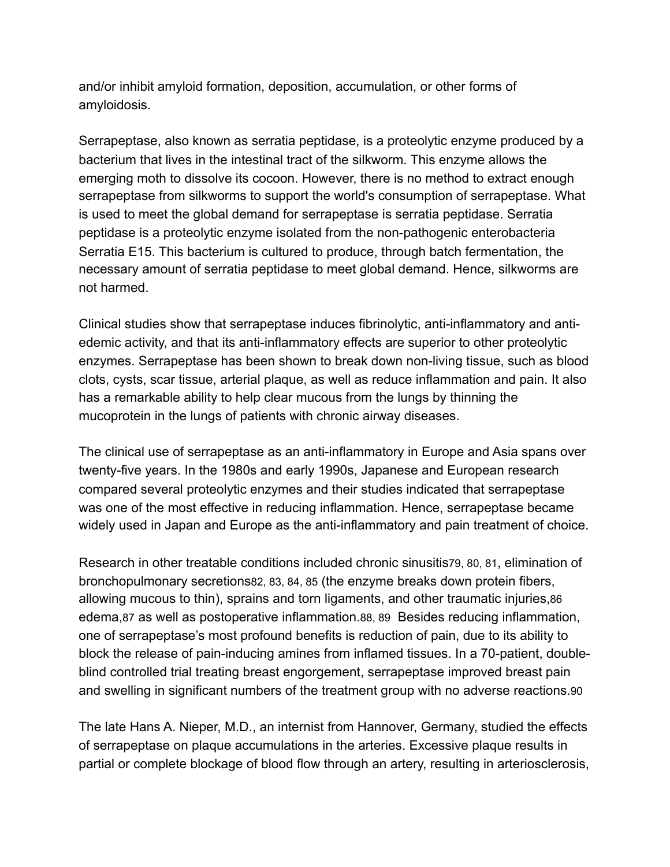and/or inhibit amyloid formation, deposition, accumulation, or other forms of amyloidosis.

Serrapeptase, also known as serratia peptidase, is a proteolytic enzyme produced by a bacterium that lives in the intestinal tract of the silkworm. This enzyme allows the emerging moth to dissolve its cocoon. However, there is no method to extract enough serrapeptase from silkworms to support the world's consumption of serrapeptase. What is used to meet the global demand for serrapeptase is serratia peptidase. Serratia peptidase is a proteolytic enzyme isolated from the non-pathogenic enterobacteria Serratia E15. This bacterium is cultured to produce, through batch fermentation, the necessary amount of serratia peptidase to meet global demand. Hence, silkworms are not harmed.

Clinical studies show that serrapeptase induces fibrinolytic, anti-inflammatory and antiedemic activity, and that its anti-inflammatory effects are superior to other proteolytic enzymes. Serrapeptase has been shown to break down non-living tissue, such as blood clots, cysts, scar tissue, arterial plaque, as well as reduce inflammation and pain. It also has a remarkable ability to help clear mucous from the lungs by thinning the mucoprotein in the lungs of patients with chronic airway diseases.

The clinical use of serrapeptase as an anti-inflammatory in Europe and Asia spans over twenty-five years. In the 1980s and early 1990s, Japanese and European research compared several proteolytic enzymes and their studies indicated that serrapeptase was one of the most effective in reducing inflammation. Hence, serrapeptase became widely used in Japan and Europe as the anti-inflammatory and pain treatment of choice.

Research in other treatable conditions included chronic sinusitis79, 80, 81, elimination of bronchopulmonary secretions82, 83, 84, 85 (the enzyme breaks down protein fibers, allowing mucous to thin), sprains and torn ligaments, and other traumatic injuries,86 edema,87 as well as postoperative inflammation.88, 89 Besides reducing inflammation, one of serrapeptase's most profound benefits is reduction of pain, due to its ability to block the release of pain-inducing amines from inflamed tissues. In a 70-patient, doubleblind controlled trial treating breast engorgement, serrapeptase improved breast pain and swelling in significant numbers of the treatment group with no adverse reactions.90

The late Hans A. Nieper, M.D., an internist from Hannover, Germany, studied the effects of serrapeptase on plaque accumulations in the arteries. Excessive plaque results in partial or complete blockage of blood flow through an artery, resulting in arteriosclerosis,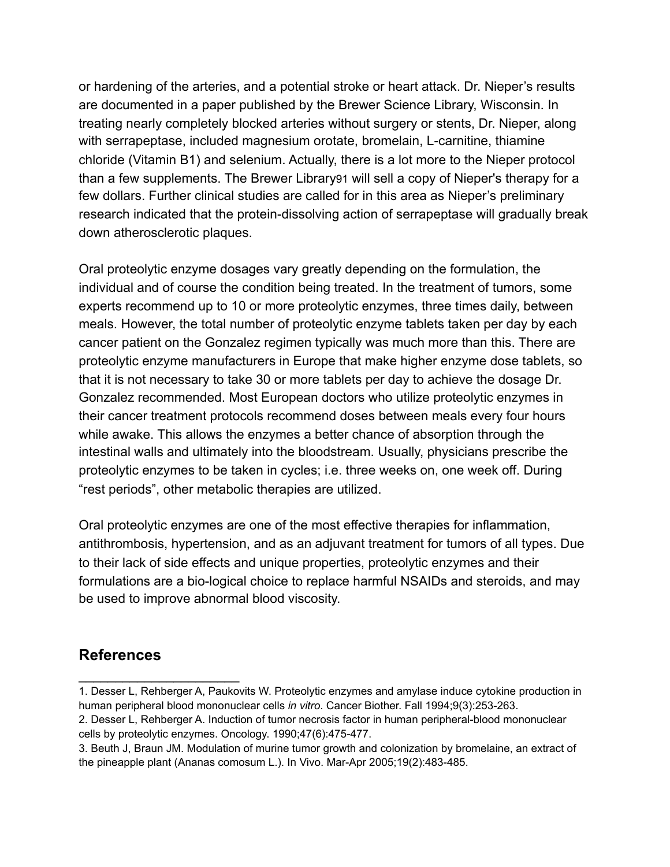or hardening of the arteries, and a potential stroke or heart attack. Dr. Nieper's results are documented in a paper published by the Brewer Science Library, Wisconsin. In treating nearly completely blocked arteries without surgery or stents, Dr. Nieper, along with serrapeptase, included magnesium orotate, bromelain, L-carnitine, thiamine chloride (Vitamin B1) and selenium. Actually, there is a lot more to the Nieper protocol than a few supplements. The Brewer Library91 will sell a copy of Nieper's therapy for a few dollars. Further clinical studies are called for in this area as Nieper's preliminary research indicated that the protein-dissolving action of serrapeptase will gradually break down atherosclerotic plaques.

Oral proteolytic enzyme dosages vary greatly depending on the formulation, the individual and of course the condition being treated. In the treatment of tumors, some experts recommend up to 10 or more proteolytic enzymes, three times daily, between meals. However, the total number of proteolytic enzyme tablets taken per day by each cancer patient on the Gonzalez regimen typically was much more than this. There are proteolytic enzyme manufacturers in Europe that make higher enzyme dose tablets, so that it is not necessary to take 30 or more tablets per day to achieve the dosage Dr. Gonzalez recommended. Most European doctors who utilize proteolytic enzymes in their cancer treatment protocols recommend doses between meals every four hours while awake. This allows the enzymes a better chance of absorption through the intestinal walls and ultimately into the bloodstream. Usually, physicians prescribe the proteolytic enzymes to be taken in cycles; i.e. three weeks on, one week off. During "rest periods", other metabolic therapies are utilized.

Oral proteolytic enzymes are one of the most effective therapies for inflammation, antithrombosis, hypertension, and as an adjuvant treatment for tumors of all types. Due to their lack of side effects and unique properties, proteolytic enzymes and their formulations are a bio-logical choice to replace harmful NSAIDs and steroids, and may be used to improve abnormal blood viscosity.

#### **References**

 $\overline{\phantom{a}}$  , where  $\overline{\phantom{a}}$ 

<sup>1.</sup> Desser L, Rehberger A, Paukovits W. Proteolytic enzymes and amylase induce cytokine production in human peripheral blood mononuclear cells *in vitro*. Cancer Biother. Fall 1994;9(3):253-263.

<sup>2.</sup> Desser L, Rehberger A. Induction of tumor necrosis factor in human peripheral-blood mononuclear cells by proteolytic enzymes. Oncology. 1990;47(6):475-477.

<sup>3.</sup> Beuth J, Braun JM. Modulation of murine tumor growth and colonization by bromelaine, an extract of the pineapple plant (Ananas comosum L.). In Vivo. Mar-Apr 2005;19(2):483-485.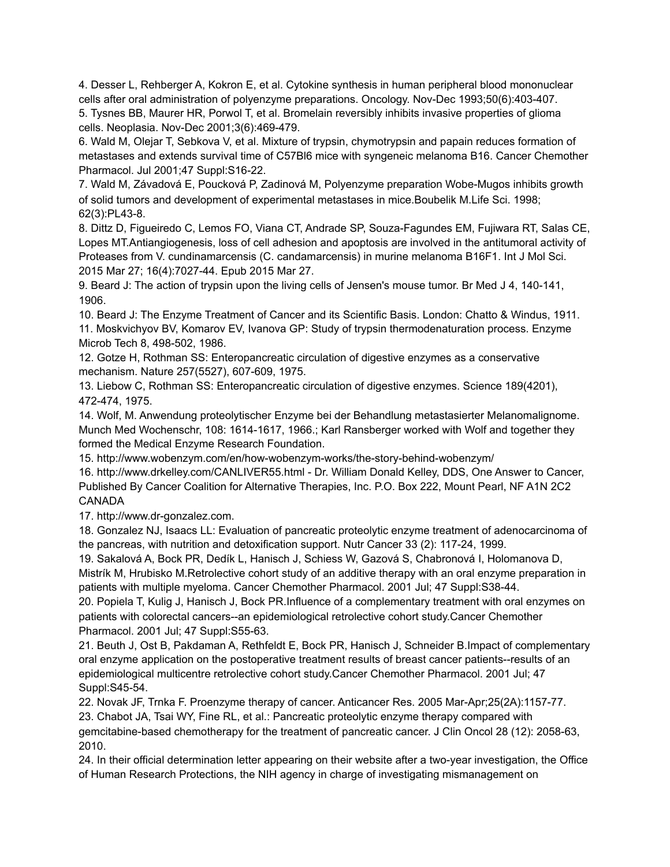4. Desser L, Rehberger A, Kokron E, et al. Cytokine synthesis in human peripheral blood mononuclear cells after oral administration of polyenzyme preparations. Oncology. Nov-Dec 1993;50(6):403-407.

5. Tysnes BB, Maurer HR, Porwol T, et al. Bromelain reversibly inhibits invasive properties of glioma cells. Neoplasia. Nov-Dec 2001;3(6):469-479.

6. Wald M, Olejar T, Sebkova V, et al. Mixture of trypsin, chymotrypsin and papain reduces formation of metastases and extends survival time of C57Bl6 mice with syngeneic melanoma B16. Cancer Chemother Pharmacol. Jul 2001;47 Suppl:S16-22.

7. Wald M, Závadová E, Poucková P, Zadinová M, Polyenzyme preparation Wobe-Mugos inhibits growth of solid tumors and development of experimental metastases in mice.Boubelik M.Life Sci. 1998; 62(3):PL43-8.

8. Dittz D, Figueiredo C, Lemos FO, Viana CT, Andrade SP, Souza-Fagundes EM, Fujiwara RT, Salas CE, Lopes MT.Antiangiogenesis, loss of cell adhesion and apoptosis are involved in the antitumoral activity of Proteases from V. cundinamarcensis (C. candamarcensis) in murine melanoma B16F1. Int J Mol Sci. 2015 Mar 27; 16(4):7027-44. Epub 2015 Mar 27.

9. Beard J: The action of trypsin upon the living cells of Jensen's mouse tumor. Br Med J 4, 140-141, 1906.

10. Beard J: The Enzyme Treatment of Cancer and its Scientific Basis. London: Chatto & Windus, 1911. 11. Moskvichyov BV, Komarov EV, Ivanova GP: Study of trypsin thermodenaturation process. Enzyme Microb Tech 8, 498-502, 1986.

12. Gotze H, Rothman SS: Enteropancreatic circulation of digestive enzymes as a conservative mechanism. Nature 257(5527), 607-609, 1975.

13. Liebow C, Rothman SS: Enteropancreatic circulation of digestive enzymes. Science 189(4201), 472-474, 1975.

14. Wolf, M. Anwendung proteolytischer Enzyme bei der Behandlung metastasierter Melanomalignome. Munch Med Wochenschr, 108: 1614-1617, 1966.; Karl Ransberger worked with Wolf and together they formed the Medical Enzyme Research Foundation.

15. http://www.wobenzym.com/en/how-wobenzym-works/the-story-behind-wobenzym/

16. http://www.drkelley.com/CANLIVER55.html - Dr. William Donald Kelley, DDS, One Answer to Cancer, Published By Cancer Coalition for Alternative Therapies, Inc. P.O. Box 222, Mount Pearl, NF A1N 2C2 CANADA

17. http://www.dr-gonzalez.com.

18. Gonzalez NJ, Isaacs LL: Evaluation of pancreatic proteolytic enzyme treatment of adenocarcinoma of the pancreas, with nutrition and detoxification support. Nutr Cancer 33 (2): 117-24, 1999.

19. Sakalová A, Bock PR, Dedík L, Hanisch J, Schiess W, Gazová S, Chabronová I, Holomanova D, Mistrík M, Hrubisko M.Retrolective cohort study of an additive therapy with an oral enzyme preparation in patients with multiple myeloma. Cancer Chemother Pharmacol. 2001 Jul; 47 Suppl:S38-44.

20. Popiela T, Kulig J, Hanisch J, Bock PR.Influence of a complementary treatment with oral enzymes on patients with colorectal cancers--an epidemiological retrolective cohort study.Cancer Chemother Pharmacol. 2001 Jul; 47 Suppl:S55-63.

21. Beuth J, Ost B, Pakdaman A, Rethfeldt E, Bock PR, Hanisch J, Schneider B.Impact of complementary oral enzyme application on the postoperative treatment results of breast cancer patients--results of an epidemiological multicentre retrolective cohort study.Cancer Chemother Pharmacol. 2001 Jul; 47 Suppl:S45-54.

22. [Novak JF,](http://www.ncbi.nlm.nih.gov/pubmed?term=Novak%2520JF%255BAuthor%255D&cauthor=true&cauthor_uid=15868959) Trnka F. Proenzyme therapy of cancer. [Anticancer Res.](http://www.ncbi.nlm.nih.gov/pubmed/15868959) 2005 Mar-Apr;25(2A):1157-77.

23. Chabot JA, Tsai WY, Fine RL, et al.: Pancreatic proteolytic enzyme therapy compared with gemcitabine-based chemotherapy for the treatment of pancreatic cancer. J Clin Oncol 28 (12): 2058-63, 2010.

24. In their official determination letter appearing on their website after a two-year investigation, the Office of Human Research Protections, the NIH agency in charge of investigating mismanagement on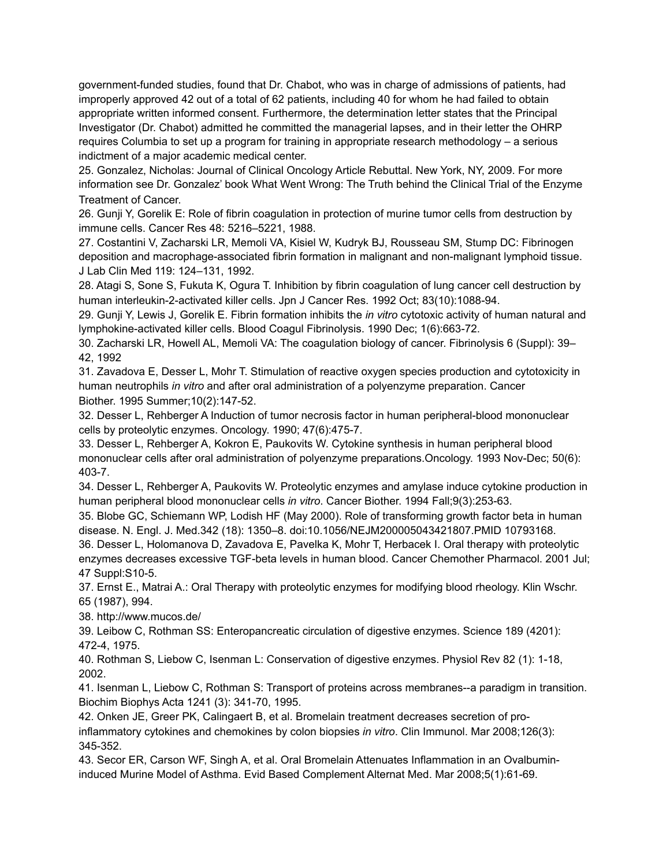government-funded studies, found that Dr. Chabot, who was in charge of admissions of patients, had improperly approved 42 out of a total of 62 patients, including 40 for whom he had failed to obtain appropriate written informed consent. Furthermore, the determination letter states that the Principal Investigator (Dr. Chabot) admitted he committed the managerial lapses, and in their letter the OHRP requires Columbia to set up a program for training in appropriate research methodology – a serious indictment of a major academic medical center.

25. Gonzalez, Nicholas: Journal of Clinical Oncology Article Rebuttal. New York, NY, 2009. For more information see Dr. Gonzalez' book What Went Wrong: The Truth behind the Clinical Trial of the Enzyme Treatment of Cancer.

26. Gunji Y, Gorelik E: Role of fibrin coagulation in protection of murine tumor cells from destruction by immune cells. Cancer Res 48: 5216–5221, 1988.

27. Costantini V, Zacharski LR, Memoli VA, Kisiel W, Kudryk BJ, Rousseau SM, Stump DC: Fibrinogen deposition and macrophage-associated fibrin formation in malignant and non-malignant lymphoid tissue. J Lab Clin Med 119: 124–131, 1992.

28. Atagi S, Sone S, Fukuta K, Ogura T. Inhibition by fibrin coagulation of lung cancer cell destruction by human interleukin-2-activated killer cells. Jpn J Cancer Res. 1992 Oct; 83(10):1088-94.

29. Gunji Y, Lewis J, Gorelik E. Fibrin formation inhibits the *in vitro* cytotoxic activity of human natural and lymphokine-activated killer cells. Blood Coagul Fibrinolysis. 1990 Dec; 1(6):663-72.

30. Zacharski LR, Howell AL, Memoli VA: The coagulation biology of cancer. Fibrinolysis 6 (Suppl): 39– 42, 1992

31. Zavadova E, Desser L, Mohr T. Stimulation of reactive oxygen species production and cytotoxicity in human neutrophils *in vitro* and after oral administration of a polyenzyme preparation. Cancer Biother. 1995 Summer;10(2):147-52.

32. Desser L, Rehberger A Induction of tumor necrosis factor in human peripheral-blood mononuclear cells by proteolytic enzymes. Oncology. 1990; 47(6):475-7.

33. Desser L, Rehberger A, Kokron E, Paukovits W. Cytokine synthesis in human peripheral blood mononuclear cells after oral administration of polyenzyme preparations.Oncology. 1993 Nov-Dec; 50(6): 403-7.

34. Desser L, Rehberger A, Paukovits W. Proteolytic enzymes and amylase induce cytokine production in human peripheral blood mononuclear cells *in vitro*. Cancer Biother. 1994 Fall;9(3):253-63.

35. Blobe GC, Schiemann WP, Lodish HF (May 2000). Role of transforming growth factor beta in human disease. N. Engl. J. Med.342 (18): 1350–8. [doi](https://en.wikipedia.org/wiki/Digital_object_identifier)[:10.1056/NEJM200005043421807.](https://dx.doi.org/10.1056%252FNEJM200005043421807)[PMID](https://en.wikipedia.org/wiki/PubMed_Identifier) [10793168.](https://www.ncbi.nlm.nih.gov/pubmed/10793168)

36. Desser L, Holomanova D, Zavadova E, Pavelka K, [Mohr T,](http://www.ncbi.nlm.nih.gov/pubmed/?term=Mohr%2520T%255BAuthor%255D&cauthor=true&cauthor_uid=11561866) Herbacek I. Oral therapy with proteolytic enzymes decreases excessive TGF-beta levels in human blood. Cancer Chemother Pharmacol. 2001 Jul; 47 Suppl:S10-5.

37. Ernst E., Matrai A.: Oral Therapy with proteolytic enzymes for modifying blood rheology. Klin Wschr. 65 (1987), 994.

38. http://www.mucos.de/

39. Leibow C, Rothman SS: Enteropancreatic circulation of digestive enzymes. Science 189 (4201): 472-4, 1975.

40. Rothman S, Liebow C, Isenman L: Conservation of digestive enzymes. Physiol Rev 82 (1): 1-18, 2002.

41. Isenman L, Liebow C, Rothman S: Transport of proteins across membranes--a paradigm in transition. Biochim Biophys Acta 1241 (3): 341-70, 1995.

42. Onken JE, Greer PK, Calingaert B, et al. Bromelain treatment decreases secretion of proinflammatory cytokines and chemokines by colon biopsies *in vitro*. Clin Immunol. Mar 2008;126(3): 345-352.

43. Secor ER, Carson WF, Singh A, et al. Oral Bromelain Attenuates Inflammation in an Ovalbumininduced Murine Model of Asthma. Evid Based Complement Alternat Med. Mar 2008;5(1):61-69.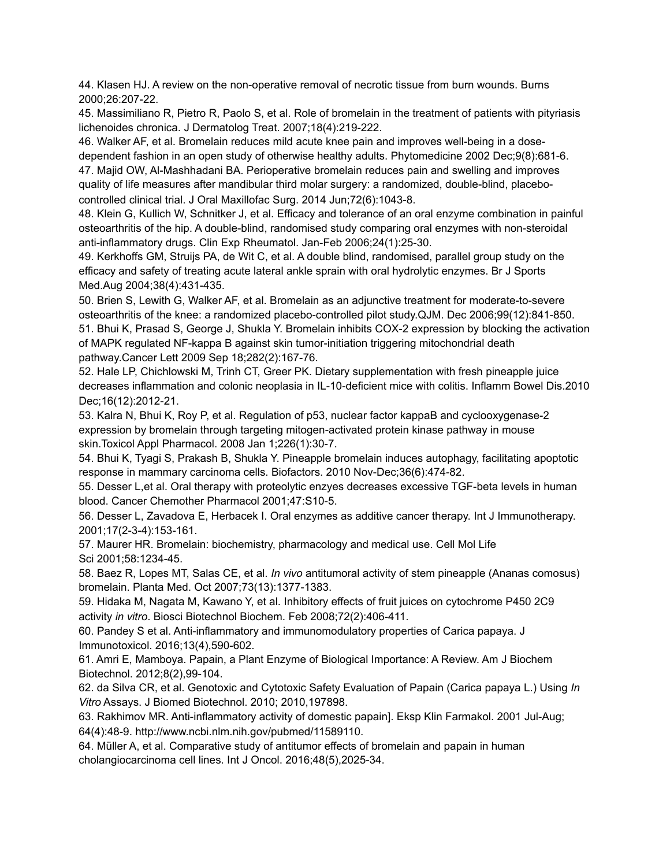44. Klasen HJ. [A review on the non-operative removal of necrotic tissue from burn wounds.](http://www.ncbi.nlm.nih.gov/pubmed/10741585) Burns 2000;26:207-22.

45. Massimiliano R, Pietro R, Paolo S, et al. Role of bromelain in the treatment of patients with pityriasis lichenoides chronica. J Dermatolog Treat. 2007;18(4):219-222.

46. Walker AF, et al. Bromelain reduces mild acute knee pain and improves well-being in a dosedependent fashion in an open study of otherwise healthy adults. Phytomedicine 2002 Dec;9(8):681-6. 47. Majid OW, Al-Mashhadani BA. Perioperative bromelain reduces pain and swelling and improves quality of life measures after mandibular third molar surgery: a randomized, double-blind, placebocontrolled clinical trial. J Oral Maxillofac Surg. 2014 Jun;72(6):1043-8.

48. Klein G, Kullich W, Schnitker J, et al. Efficacy and tolerance of an oral enzyme combination in painful osteoarthritis of the hip. A double-blind, randomised study comparing oral enzymes with non-steroidal anti-inflammatory drugs. Clin Exp Rheumatol. Jan-Feb 2006;24(1):25-30.

49. Kerkhoffs GM, Struijs PA, de Wit C, et al. A double blind, randomised, parallel group study on the efficacy and safety of treating acute lateral ankle sprain with oral hydrolytic enzymes. Br J Sports Med.Aug 2004;38(4):431-435.

50. Brien S, Lewith G, Walker AF, et al. Bromelain as an adjunctive treatment for moderate-to-severe osteoarthritis of the knee: a randomized placebo-controlled pilot study.QJM. Dec 2006;99(12):841-850. 51. Bhui K, Prasad S, George J, Shukla Y. Bromelain inhibits COX-2 expression by blocking the activation of MAPK regulated NF-kappa B against skin tumor-initiation triggering mitochondrial death pathway.Cancer Lett 2009 Sep 18;282(2):167-76.

52. Hale LP, Chichlowski M, Trinh CT, Greer PK. Dietary supplementation with fresh pineapple juice decreases inflammation and colonic neoplasia in IL-10-deficient mice with colitis. Inflamm Bowel Dis.2010 Dec;16(12):2012-21.

53. Kalra N, Bhui K, Roy P, et al. Regulation of p53, nuclear factor kappaB and cyclooxygenase-2 expression by bromelain through targeting mitogen-activated protein kinase pathway in mouse skin.Toxicol Appl Pharmacol. 2008 Jan 1;226(1):30-7.

54. Bhui K, Tyagi S, Prakash B, Shukla Y. Pineapple bromelain induces autophagy, facilitating apoptotic response in mammary carcinoma cells. Biofactors. 2010 Nov-Dec;36(6):474-82.

55. Desser L,et al. Oral therapy with proteolytic enzyes decreases excessive TGF-beta levels in human blood. Cancer Chemother Pharmacol 2001;47:S10-5.

56. Desser L, Zavadova E, Herbacek I. Oral enzymes as additive cancer therapy. Int J Immunotherapy. 2001;17(2-3-4):153-161.

57. Maurer HR. Bromelain: biochemistry, pharmacology and medical use. Cell Mol Life Sci 2001;58:1234-45.

58. Baez R, Lopes MT, Salas CE, et al. *In vivo* antitumoral activity of stem pineapple (Ananas comosus) bromelain. Planta Med. Oct 2007;73(13):1377-1383.

59. Hidaka M, Nagata M, Kawano Y, et al. Inhibitory effects of fruit juices on cytochrome P450 2C9 activity *in vitro*. Biosci Biotechnol Biochem. Feb 2008;72(2):406-411.

60. Pandey S et al. Anti-inflammatory and immunomodulatory properties of Carica papaya. J Immunotoxicol. 2016;13(4),590-602.

61. Amri E, Mamboya. Papain, a Plant Enzyme of Biological Importance: A Review. Am J Biochem Biotechnol. 2012;8(2),99-104.

62. da Silva CR, et al. Genotoxic and Cytotoxic Safety Evaluation of Papain (Carica papaya L.) Using *In Vitro* Assays. J Biomed Biotechnol. 2010; 2010,197898.

63. Rakhimov MR. Anti-inflammatory activity of domestic papain]. Eksp Klin Farmakol. 2001 Jul-Aug; 64(4):48-9. http://www.ncbi.nlm.nih.gov/pubmed/11589110.

64. Müller A, et al. Comparative study of antitumor effects of bromelain and papain in human cholangiocarcinoma cell lines. Int J Oncol. 2016;48(5),2025-34.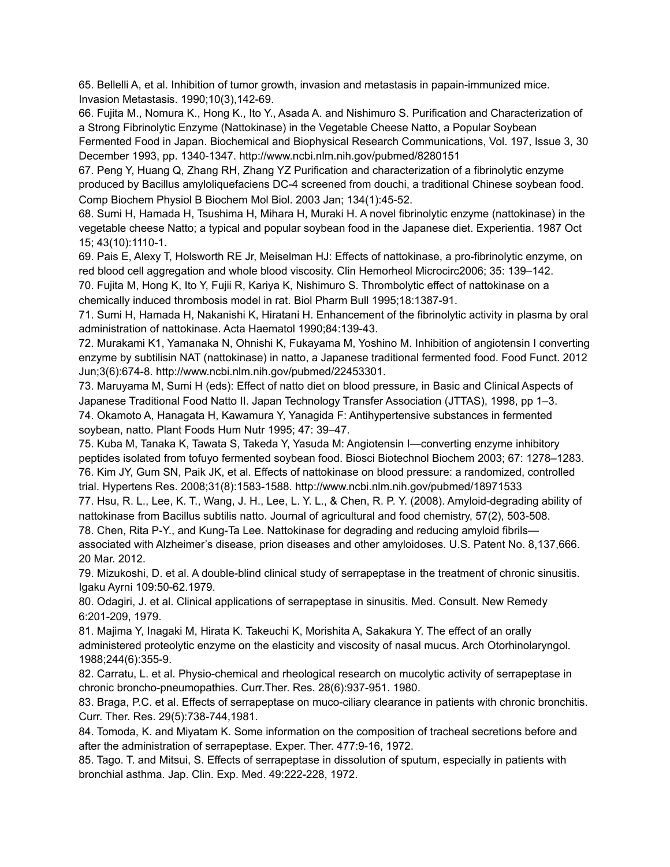65. Bellelli A, et al. Inhibition of tumor growth, invasion and metastasis in papain-immunized mice. Invasion Metastasis. 1990;10(3),142-69.

66. Fujita M., Nomura K., Hong K., Ito Y., Asada A. and Nishimuro S. Purification and Characterization of a Strong Fibrinolytic Enzyme (Nattokinase) in the Vegetable Cheese Natto, a Popular Soybean Fermented Food in Japan. Biochemical and Biophysical Research Communications, Vol. 197, Issue 3, 30 December 1993, pp. 1340-1347. http://www.ncbi.nlm.nih.gov/pubmed/8280151

67. Peng Y, Huang Q, Zhang RH, Zhang YZ Purification and characterization of a fibrinolytic enzyme produced by Bacillus amyloliquefaciens DC-4 screened from douchi, a traditional Chinese soybean food. Comp Biochem Physiol B Biochem Mol Biol. 2003 Jan; 134(1):45-52.

68. Sumi H, Hamada H, Tsushima H, Mihara H, Muraki H. A novel fibrinolytic enzyme (nattokinase) in the vegetable cheese Natto; a typical and popular soybean food in the Japanese diet. Experientia. 1987 Oct 15; 43(10):1110-1.

69. Pais E, Alexy T, Holsworth RE Jr, Meiselman HJ: Effects of nattokinase, a pro-fibrinolytic enzyme, on red blood cell aggregation and whole blood viscosity. Clin Hemorheol Microcirc2006; 35: 139–142.

70. Fujita M, Hong K, Ito Y, Fujii R, Kariya K, Nishimuro S. Thrombolytic effect of nattokinase on a chemically induced thrombosis model in rat. Biol Pharm Bull 1995;18:1387-91.

71. Sumi H, Hamada H, Nakanishi K, Hiratani H. Enhancement of the fibrinolytic activity in plasma by oral administration of nattokinase. Acta Haematol 1990;84:139-43.

72. Murakami K1, Yamanaka N, Ohnishi K, Fukayama M, Yoshino M. Inhibition of angiotensin I converting enzyme by subtilisin NAT (nattokinase) in natto, a Japanese traditional fermented food. Food Funct. 2012 Jun;3(6):674-8. http://www.ncbi.nlm.nih.gov/pubmed/22453301.

73. Maruyama M, Sumi H (eds): Effect of natto diet on blood pressure, in Basic and Clinical Aspects of Japanese Traditional Food Natto II. Japan Technology Transfer Association (JTTAS), 1998, pp 1–3. 74. Okamoto A, Hanagata H, Kawamura Y, Yanagida F: Antihypertensive substances in fermented soybean, natto. Plant Foods Hum Nutr 1995; 47: 39–47.

75. Kuba M, Tanaka K, Tawata S, Takeda Y, Yasuda M: Angiotensin I—converting enzyme inhibitory peptides isolated from tofuyo fermented soybean food. Biosci Biotechnol Biochem 2003; 67: 1278–1283. 76. Kim JY, Gum SN, Paik JK, et al. Effects of nattokinase on blood pressure: a randomized, controlled trial. Hypertens Res. 2008;31(8):1583-1588. http://www.ncbi.nlm.nih.gov/pubmed/18971533

77. Hsu, R. L., Lee, K. T., Wang, J. H., Lee, L. Y. L., & Chen, R. P. Y. (2008). Amyloid-degrading ability of nattokinase from Bacillus subtilis natto. Journal of agricultural and food chemistry, 57(2), 503-508.

78. Chen, Rita P-Y., and Kung-Ta Lee. Nattokinase for degrading and reducing amyloid fibrils associated with Alzheimer's disease, prion diseases and other amyloidoses. U.S. Patent No. 8,137,666. 20 Mar. 2012.

79. Mizukoshi, D. et al. A double-blind clinical study of serrapeptase in the treatment of chronic sinusitis. Igaku Ayrni 109:50-62.1979.

80. Odagiri, J. et al. Clinical applications of serrapeptase in sinusitis. Med. Consult. New Remedy 6:201-209, 1979.

81. Majima Y, Inagaki M, Hirata K. Takeuchi K, Morishita A, Sakakura Y. The effect of an orally administered proteolytic enzyme on the elasticity and viscosity of nasal mucus. Arch Otorhinolaryngol. 1988;244(6):355-9.

82. Carratu, L. et al. Physio-chemical and rheological research on mucolytic activity of serrapeptase in chronic broncho-pneumopathies. Curr.Ther. Res. 28(6):937-951. 1980.

83. Braga, P.C. et al. Effects of serrapeptase on muco-ciliary clearance in patients with chronic bronchitis. Curr. Ther. Res. 29(5):738-744,1981.

84. Tomoda, K. and Miyatam K. Some information on the composition of tracheal secretions before and after the administration of serrapeptase. Exper. Ther. 477:9-16, 1972.

85. Tago. T. and Mitsui, S. Effects of serrapeptase in dissolution of sputum, especially in patients with bronchial asthma. Jap. Clin. Exp. Med. 49:222-228, 1972.